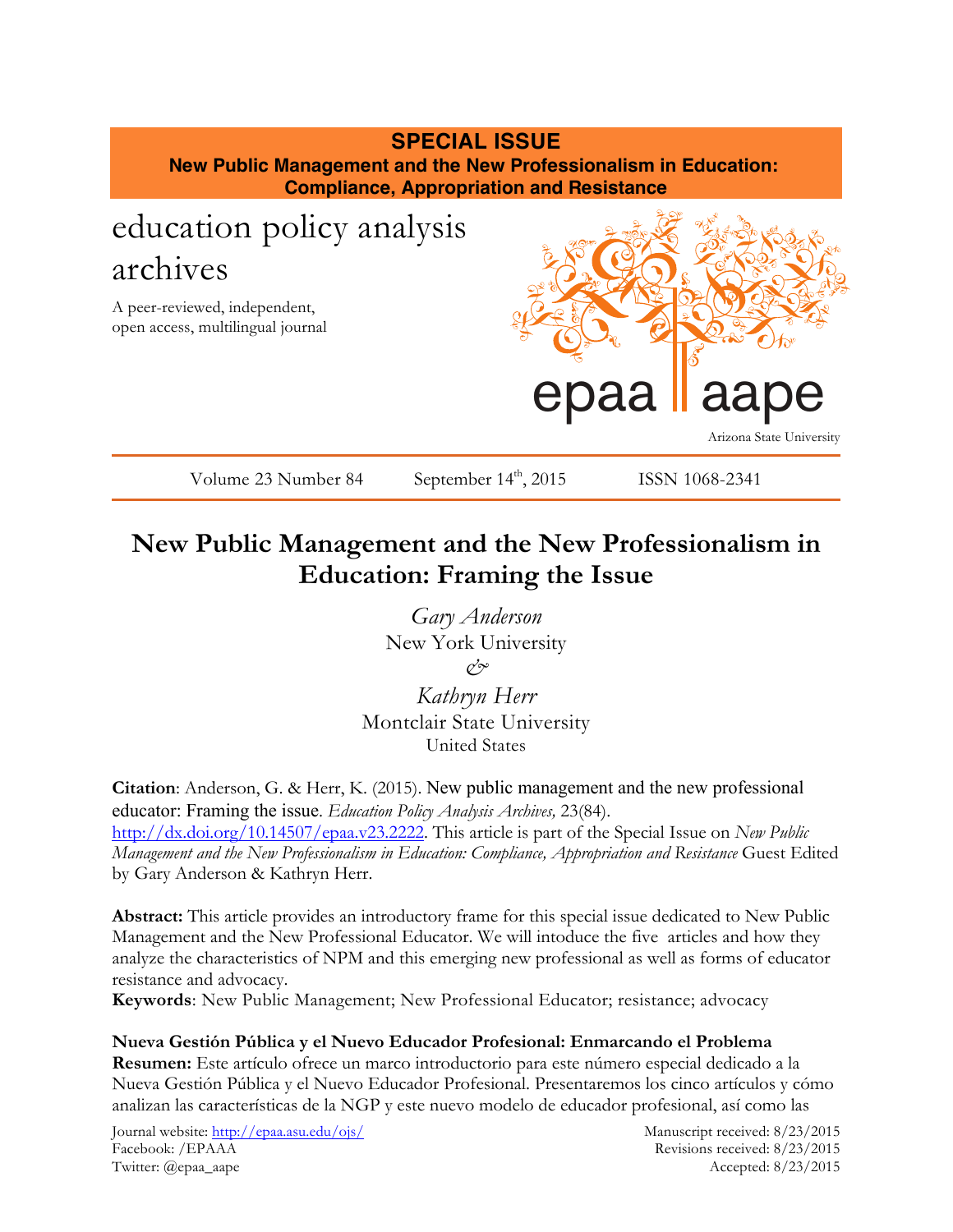## **SPECIAL ISSUE**

**New Public Management and the New Professionalism in Education: Compliance, Appropriation and Resistance**

# education policy analysis archives

A peer-reviewed, independent, open access, multilingual journal



Volume 23 Number 84 September  $14<sup>th</sup>$ , 2015 ISSN 1068-2341

## **New Public Management and the New Professionalism in Education: Framing the Issue**

*Gary Anderson* New York University *&*

*Kathryn Herr* Montclair State University United States

**Citation**: Anderson, G. & Herr, K. (2015). New public management and the new professional educator: Framing the issue. *Education Policy Analysis Archives,* 23(84). http://dx.doi.org/10.14507/epaa.v23.2222. This article is part of the Special Issue on *New Public Management and the New Professionalism in Education: Compliance, Appropriation and Resistance* Guest Edited by Gary Anderson & Kathryn Herr.

**Abstract:** This article provides an introductory frame for this special issue dedicated to New Public Management and the New Professional Educator. We will intoduce the five articles and how they analyze the characteristics of NPM and this emerging new professional as well as forms of educator resistance and advocacy.

**Keywords**: New Public Management; New Professional Educator; resistance; advocacy

**Nueva Gestión Pública y el Nuevo Educador Profesional: Enmarcando el Problema Resumen:** Este artículo ofrece un marco introductorio para este número especial dedicado a la Nueva Gestión Pública y el Nuevo Educador Profesional. Presentaremos los cinco artículos y cómo analizan las características de la NGP y este nuevo modelo de educador profesional, así como las

Journal website: http://epaa.asu.edu/ojs/ Manuscript received: 8/23/2015 Facebook: /EPAAA Revisions received: 8/23/2015 Twitter: @epaa\_aape Accepted: 8/23/2015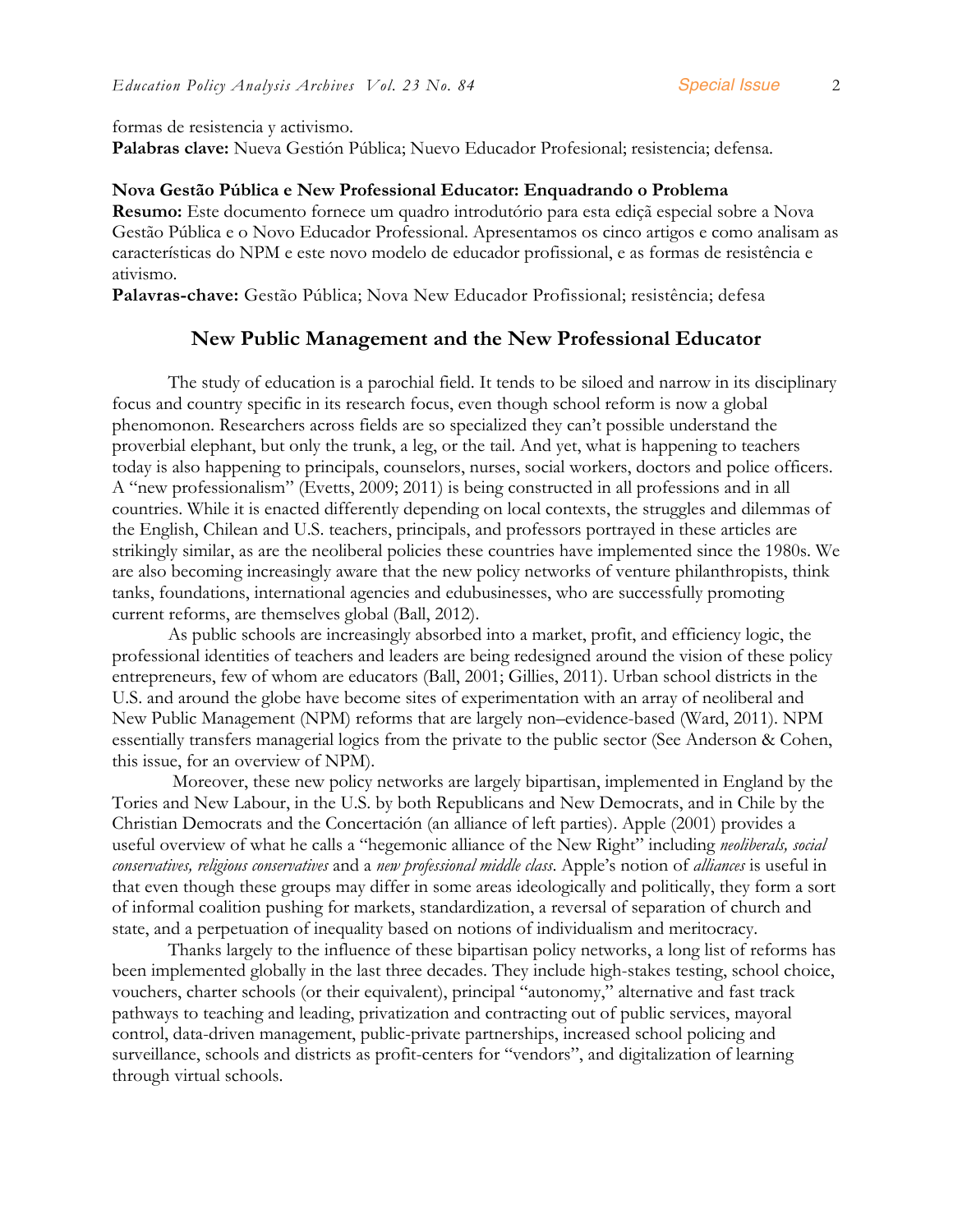formas de resistencia y activismo.

**Palabras clave:** Nueva Gestión Pública; Nuevo Educador Profesional; resistencia; defensa.

#### **Nova Gestão Pública e New Professional Educator: Enquadrando o Problema**

**Resumo:** Este documento fornece um quadro introdutório para esta ediçã especial sobre a Nova Gestão Pública e o Novo Educador Professional. Apresentamos os cinco artigos e como analisam as características do NPM e este novo modelo de educador profissional, e as formas de resistência e ativismo.

**Palavras-chave:** Gestão Pública; Nova New Educador Profissional; resistência; defesa

#### **New Public Management and the New Professional Educator**

The study of education is a parochial field. It tends to be siloed and narrow in its disciplinary focus and country specific in its research focus, even though school reform is now a global phenomonon. Researchers across fields are so specialized they can't possible understand the proverbial elephant, but only the trunk, a leg, or the tail. And yet, what is happening to teachers today is also happening to principals, counselors, nurses, social workers, doctors and police officers. A "new professionalism" (Evetts, 2009; 2011) is being constructed in all professions and in all countries. While it is enacted differently depending on local contexts, the struggles and dilemmas of the English, Chilean and U.S. teachers, principals, and professors portrayed in these articles are strikingly similar, as are the neoliberal policies these countries have implemented since the 1980s. We are also becoming increasingly aware that the new policy networks of venture philanthropists, think tanks, foundations, international agencies and edubusinesses, who are successfully promoting current reforms, are themselves global (Ball, 2012).

As public schools are increasingly absorbed into a market, profit, and efficiency logic, the professional identities of teachers and leaders are being redesigned around the vision of these policy entrepreneurs, few of whom are educators (Ball, 2001; Gillies, 2011). Urban school districts in the U.S. and around the globe have become sites of experimentation with an array of neoliberal and New Public Management (NPM) reforms that are largely non–evidence-based (Ward, 2011). NPM essentially transfers managerial logics from the private to the public sector (See Anderson & Cohen, this issue, for an overview of NPM).

Moreover, these new policy networks are largely bipartisan, implemented in England by the Tories and New Labour, in the U.S. by both Republicans and New Democrats, and in Chile by the Christian Democrats and the Concertación (an alliance of left parties). Apple (2001) provides a useful overview of what he calls a "hegemonic alliance of the New Right" including *neoliberals, social conservatives, religious conservatives* and a *new professional middle class*. Apple's notion of *alliances* is useful in that even though these groups may differ in some areas ideologically and politically, they form a sort of informal coalition pushing for markets, standardization, a reversal of separation of church and state, and a perpetuation of inequality based on notions of individualism and meritocracy.

Thanks largely to the influence of these bipartisan policy networks, a long list of reforms has been implemented globally in the last three decades. They include high-stakes testing, school choice, vouchers, charter schools (or their equivalent), principal "autonomy," alternative and fast track pathways to teaching and leading, privatization and contracting out of public services, mayoral control, data-driven management, public-private partnerships, increased school policing and surveillance, schools and districts as profit-centers for "vendors", and digitalization of learning through virtual schools.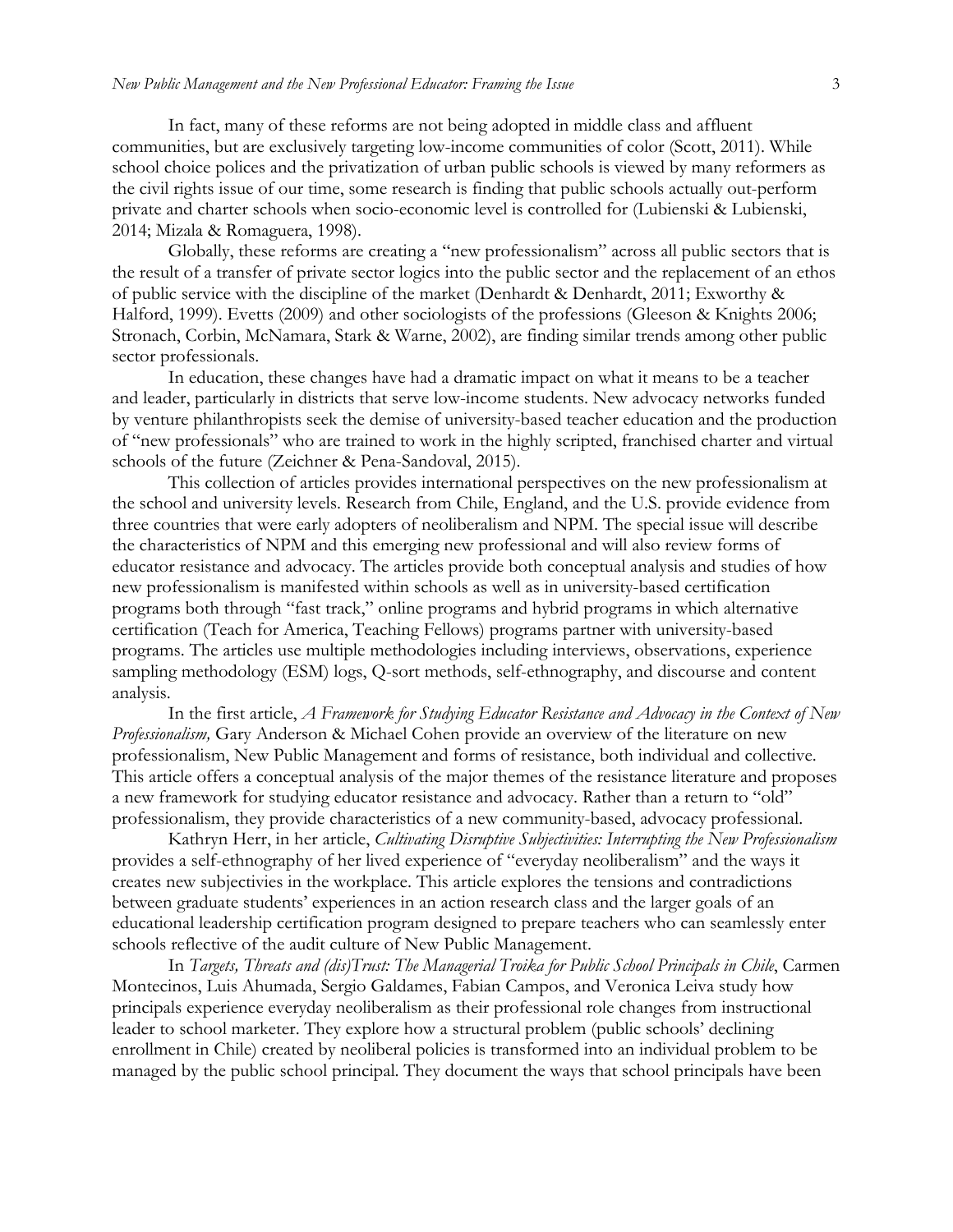In fact, many of these reforms are not being adopted in middle class and affluent communities, but are exclusively targeting low-income communities of color (Scott, 2011). While school choice polices and the privatization of urban public schools is viewed by many reformers as the civil rights issue of our time, some research is finding that public schools actually out-perform private and charter schools when socio-economic level is controlled for (Lubienski & Lubienski, 2014; Mizala & Romaguera, 1998).

Globally, these reforms are creating a "new professionalism" across all public sectors that is the result of a transfer of private sector logics into the public sector and the replacement of an ethos of public service with the discipline of the market (Denhardt & Denhardt, 2011; Exworthy & Halford, 1999). Evetts (2009) and other sociologists of the professions (Gleeson & Knights 2006; Stronach, Corbin, McNamara, Stark & Warne, 2002), are finding similar trends among other public sector professionals.

In education, these changes have had a dramatic impact on what it means to be a teacher and leader, particularly in districts that serve low-income students. New advocacy networks funded by venture philanthropists seek the demise of university-based teacher education and the production of "new professionals" who are trained to work in the highly scripted, franchised charter and virtual schools of the future (Zeichner & Pena-Sandoval, 2015).

This collection of articles provides international perspectives on the new professionalism at the school and university levels. Research from Chile, England, and the U.S. provide evidence from three countries that were early adopters of neoliberalism and NPM. The special issue will describe the characteristics of NPM and this emerging new professional and will also review forms of educator resistance and advocacy. The articles provide both conceptual analysis and studies of how new professionalism is manifested within schools as well as in university-based certification programs both through "fast track," online programs and hybrid programs in which alternative certification (Teach for America, Teaching Fellows) programs partner with university-based programs. The articles use multiple methodologies including interviews, observations, experience sampling methodology (ESM) logs, Q-sort methods, self-ethnography, and discourse and content analysis.

In the first article, *A Framework for Studying Educator Resistance and Advocacy in the Context of New Professionalism,* Gary Anderson & Michael Cohen provide an overview of the literature on new professionalism, New Public Management and forms of resistance, both individual and collective. This article offers a conceptual analysis of the major themes of the resistance literature and proposes a new framework for studying educator resistance and advocacy. Rather than a return to "old" professionalism, they provide characteristics of a new community-based, advocacy professional.

Kathryn Herr, in her article, *Cultivating Disruptive Subjectivities: Interrupting the New Professionalism* provides a self-ethnography of her lived experience of "everyday neoliberalism" and the ways it creates new subjectivies in the workplace. This article explores the tensions and contradictions between graduate students' experiences in an action research class and the larger goals of an educational leadership certification program designed to prepare teachers who can seamlessly enter schools reflective of the audit culture of New Public Management.

In *Targets, Threats and (dis)Trust: The Managerial Troika for Public School Principals in Chile*, Carmen Montecinos, Luis Ahumada, Sergio Galdames, Fabian Campos, and Veronica Leiva study how principals experience everyday neoliberalism as their professional role changes from instructional leader to school marketer. They explore how a structural problem (public schools' declining enrollment in Chile) created by neoliberal policies is transformed into an individual problem to be managed by the public school principal. They document the ways that school principals have been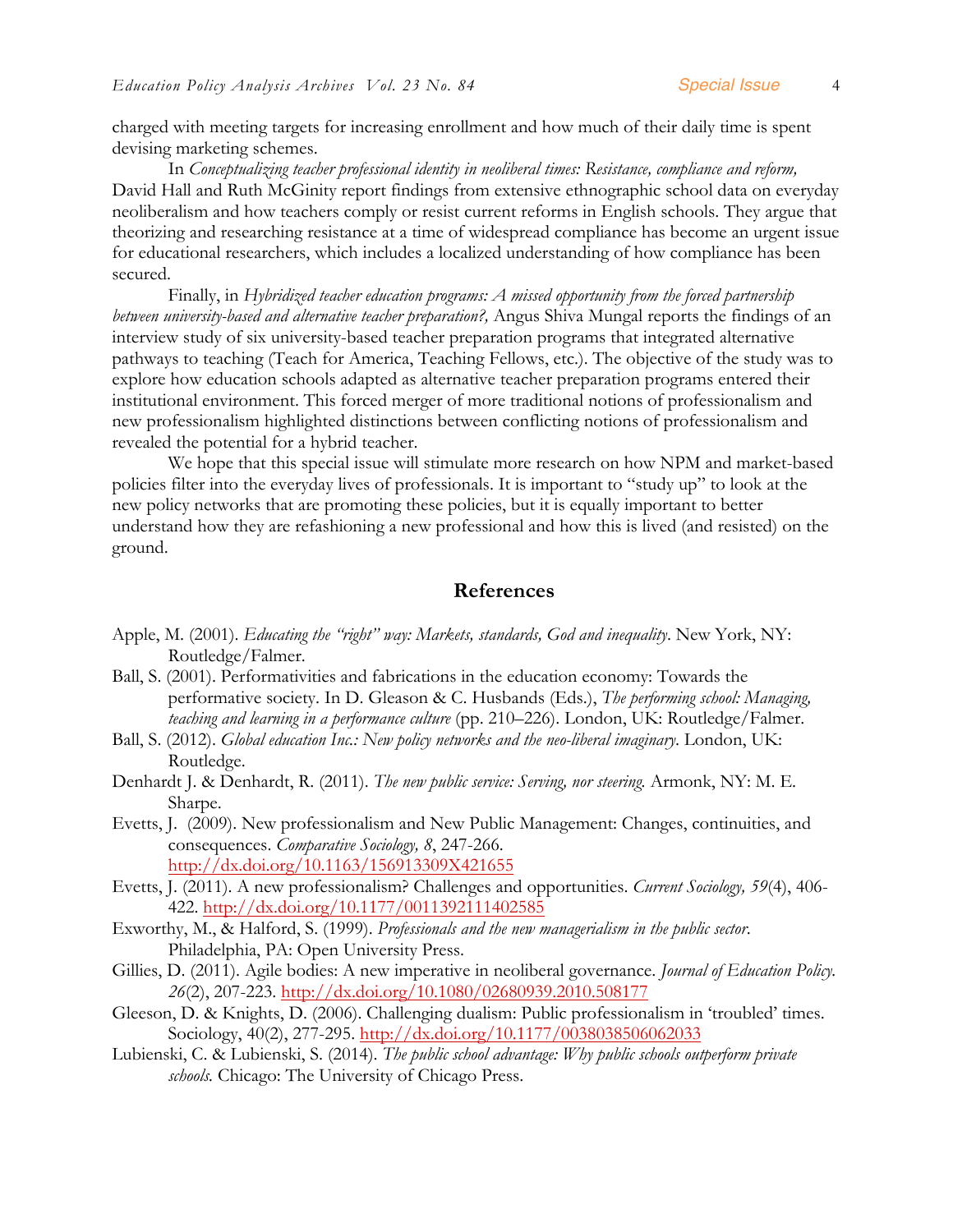charged with meeting targets for increasing enrollment and how much of their daily time is spent devising marketing schemes.

In *Conceptualizing teacher professional identity in neoliberal times: Resistance, compliance and reform,*  David Hall and Ruth McGinity report findings from extensive ethnographic school data on everyday neoliberalism and how teachers comply or resist current reforms in English schools. They argue that theorizing and researching resistance at a time of widespread compliance has become an urgent issue for educational researchers, which includes a localized understanding of how compliance has been secured.

Finally, in *Hybridized teacher education programs: A missed opportunity from the forced partnership between university-based and alternative teacher preparation?,* Angus Shiva Mungal reports the findings of an interview study of six university-based teacher preparation programs that integrated alternative pathways to teaching (Teach for America, Teaching Fellows, etc.). The objective of the study was to explore how education schools adapted as alternative teacher preparation programs entered their institutional environment. This forced merger of more traditional notions of professionalism and new professionalism highlighted distinctions between conflicting notions of professionalism and revealed the potential for a hybrid teacher.

We hope that this special issue will stimulate more research on how NPM and market-based policies filter into the everyday lives of professionals. It is important to "study up" to look at the new policy networks that are promoting these policies, but it is equally important to better understand how they are refashioning a new professional and how this is lived (and resisted) on the ground.

#### **References**

- Apple, M. (2001). *Educating the "right" way: Markets, standards, God and inequality*. New York, NY: Routledge/Falmer.
- Ball, S. (2001). Performativities and fabrications in the education economy: Towards the performative society. In D. Gleason & C. Husbands (Eds.), *The performing school: Managing, teaching and learning in a performance culture* (pp. 210–226). London, UK: Routledge/Falmer.
- Ball, S. (2012). *Global education Inc.: New policy networks and the neo-liberal imaginary*. London, UK: Routledge.
- Denhardt J. & Denhardt, R. (2011). *The new public service: Serving, nor steering.* Armonk, NY: M. E. Sharpe.
- Evetts, J. (2009). New professionalism and New Public Management: Changes, continuities, and consequences. *Comparative Sociology, 8*, 247-266. http://dx.doi.org/10.1163/156913309X421655
- Evetts, J. (2011). A new professionalism? Challenges and opportunities. *Current Sociology, 59*(4), 406- 422. http://dx.doi.org/10.1177/0011392111402585
- Exworthy, M., & Halford, S. (1999). *Professionals and the new managerialism in the public sector*. Philadelphia, PA: Open University Press.
- Gillies, D. (2011). Agile bodies: A new imperative in neoliberal governance. *Journal of Education Policy. 26*(2), 207-223. http://dx.doi.org/10.1080/02680939.2010.508177
- Gleeson, D. & Knights, D. (2006). Challenging dualism: Public professionalism in 'troubled' times. Sociology, 40(2), 277-295. http://dx.doi.org/10.1177/0038038506062033
- Lubienski, C. & Lubienski, S. (2014). *The public school advantage: Why public schools outperform private schools.* Chicago: The University of Chicago Press.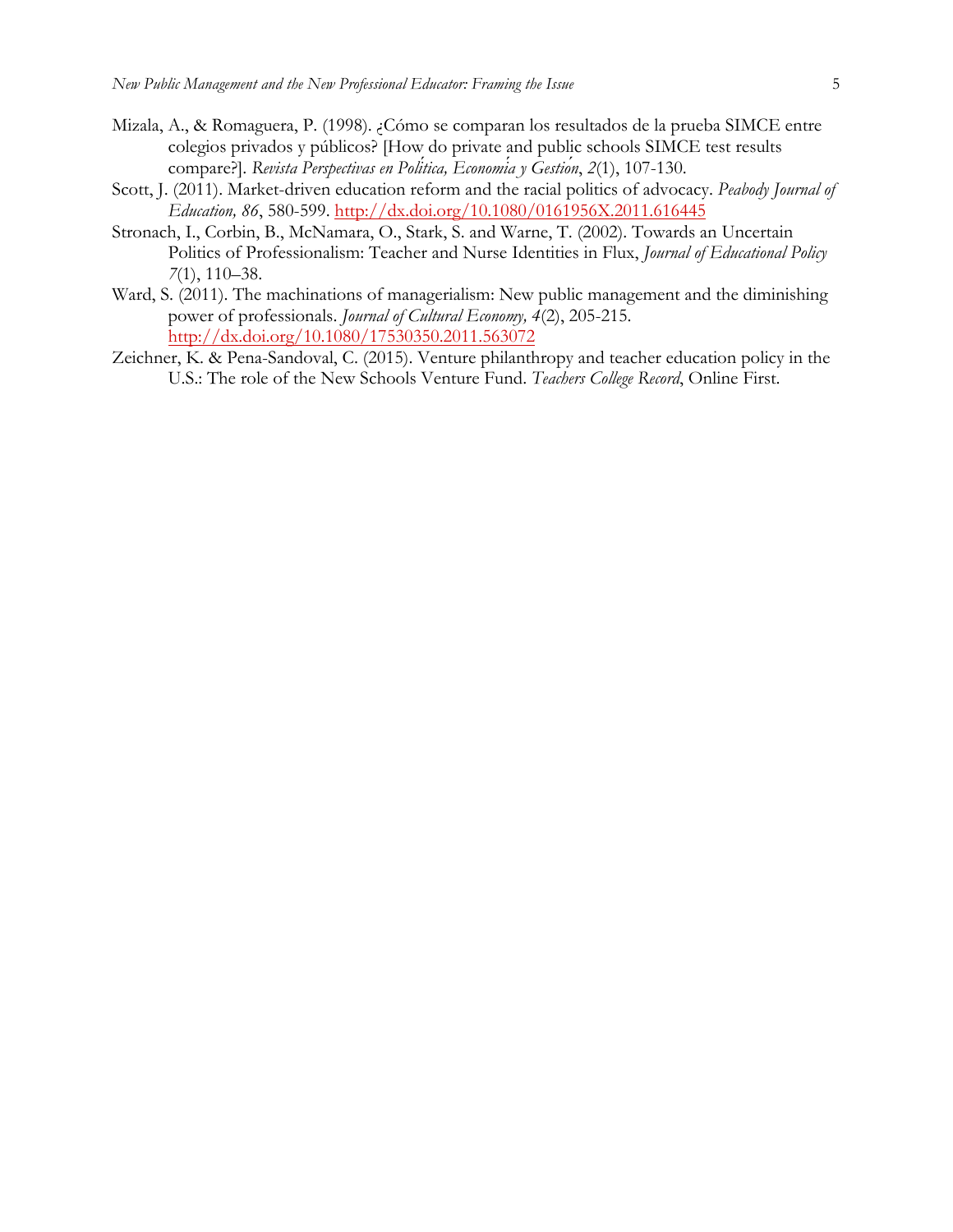- Mizala, A., & Romaguera, P. (1998). ¿Cómo se comparan los resultados de la prueba SIMCE entre colegios privados y públicos? [How do private and public schools SIMCE test results compare?]. *Revista Perspectivas en Política, Economía y Gestión*, *2*(1), 107-130.
- Scott, J. (2011). Market-driven education reform and the racial politics of advocacy. *Peabody Journal of Education, 86*, 580-599. http://dx.doi.org/10.1080/0161956X.2011.616445
- Stronach, I., Corbin, B., McNamara, O., Stark, S. and Warne, T. (2002). Towards an Uncertain Politics of Professionalism: Teacher and Nurse Identities in Flux, *Journal of Educational Policy 7*(1), 110–38.
- Ward, S. (2011). The machinations of managerialism: New public management and the diminishing power of professionals. *Journal of Cultural Economy, 4*(2), 205-215. http://dx.doi.org/10.1080/17530350.2011.563072
- Zeichner, K. & Pena-Sandoval, C. (2015). Venture philanthropy and teacher education policy in the U.S.: The role of the New Schools Venture Fund. *Teachers College Record*, Online First.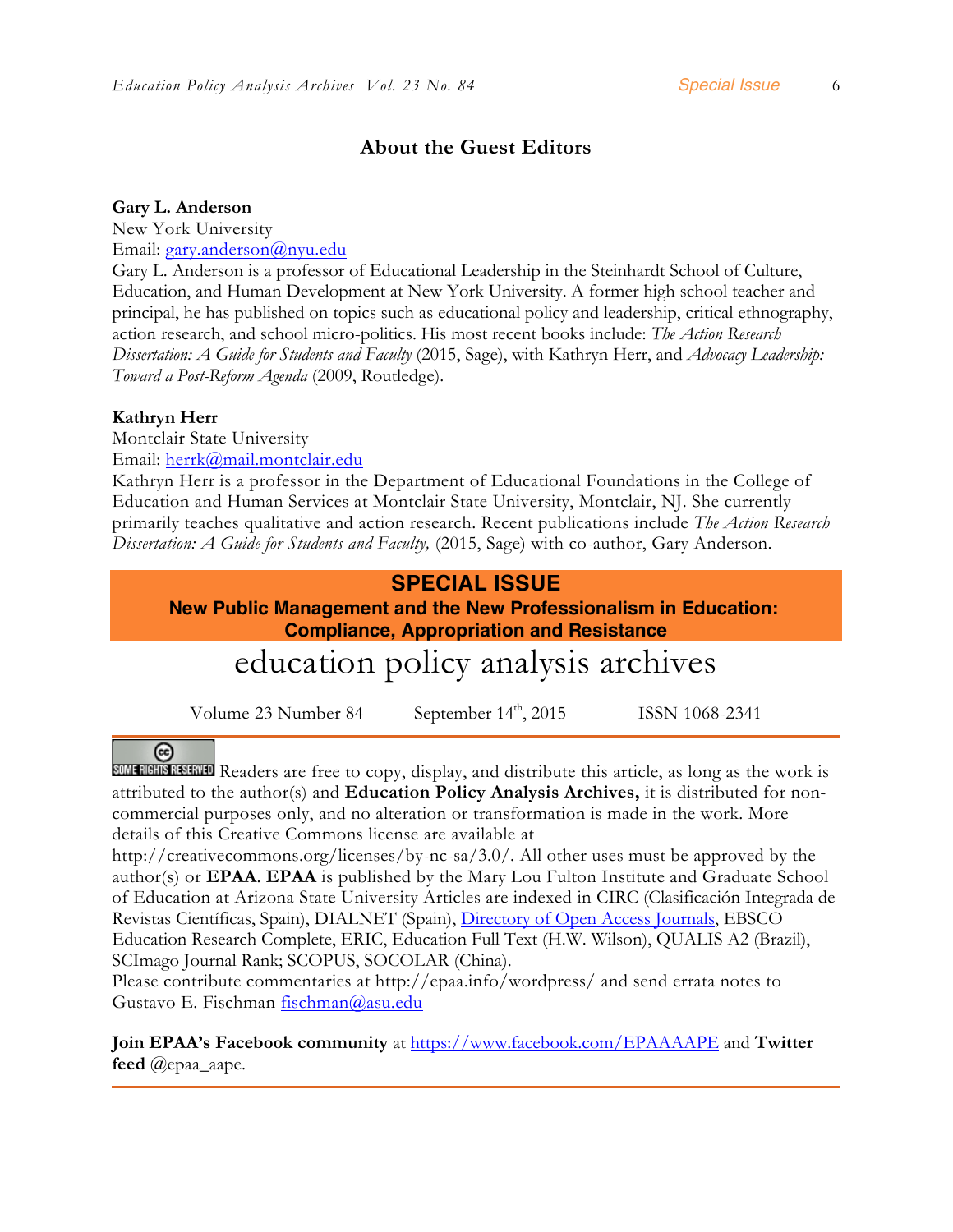## **About the Guest Editors**

#### **Gary L. Anderson**

New York University Email: gary.anderson@nyu.edu

Gary L. Anderson is a professor of Educational Leadership in the Steinhardt School of Culture, Education, and Human Development at New York University. A former high school teacher and principal, he has published on topics such as educational policy and leadership, critical ethnography, action research, and school micro-politics. His most recent books include: *The Action Research Dissertation: A Guide for Students and Faculty* (2015, Sage), with Kathryn Herr, and *Advocacy Leadership: Toward a Post-Reform Agenda* (2009, Routledge).

#### **Kathryn Herr**

Montclair State University

Email: herrk@mail.montclair.edu

Kathryn Herr is a professor in the Department of Educational Foundations in the College of Education and Human Services at Montclair State University, Montclair, NJ. She currently primarily teaches qualitative and action research. Recent publications include *The Action Research Dissertation: A Guide for Students and Faculty,* (2015, Sage) with co-author, Gary Anderson.

### **SPECIAL ISSUE**

**New Public Management and the New Professionalism in Education: Compliance, Appropriation and Resistance**

## education policy analysis archives

Volume 23 Number 84 September  $14<sup>th</sup>$ , 2015 ISSN 1068-2341

## $(cc)$

**SOME RIGHTS RESERVED** Readers are free to copy, display, and distribute this article, as long as the work is attributed to the author(s) and **Education Policy Analysis Archives,** it is distributed for noncommercial purposes only, and no alteration or transformation is made in the work. More details of this Creative Commons license are available at

http://creativecommons.org/licenses/by-nc-sa/3.0/. All other uses must be approved by the author(s) or **EPAA**. **EPAA** is published by the Mary Lou Fulton Institute and Graduate School of Education at Arizona State University Articles are indexed in CIRC (Clasificación Integrada de Revistas Científicas, Spain), DIALNET (Spain), *Directory of Open Access Journals*, EBSCO Education Research Complete, ERIC, Education Full Text (H.W. Wilson), QUALIS A2 (Brazil), SCImago Journal Rank; SCOPUS, SOCOLAR (China).

Please contribute commentaries at http://epaa.info/wordpress/ and send errata notes to Gustavo E. Fischman fischman@asu.edu

**Join EPAA's Facebook community** at https://www.facebook.com/EPAAAAPE and **Twitter feed** @epaa\_aape.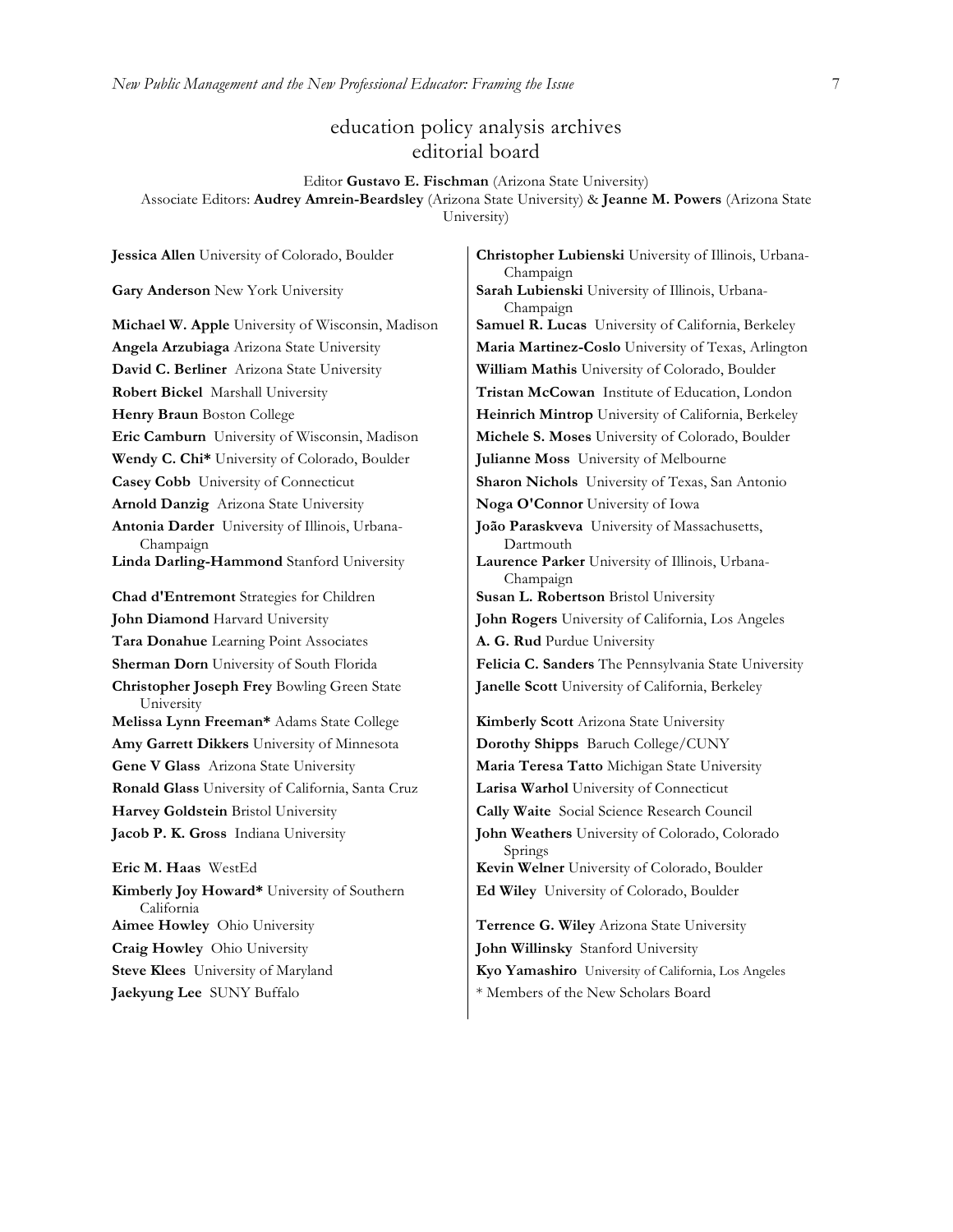#### education policy analysis archives editorial board

Editor **Gustavo E. Fischman** (Arizona State University) Associate Editors: **Audrey Amrein-Beardsley** (Arizona State University) & **Jeanne M. Powers** (Arizona State University)

**David C. Berliner** Arizona State University **William Mathis** University of Colorado, Boulder **Robert Bickel Marshall University <b>Tristan McCowan** Institute of Education, London **Eric Camburn** University of Wisconsin, Madison **Michele S. Moses** University of Colorado, Boulder **Wendy C. Chi\*** University of Colorado, Boulder **Julianne Moss** University of Melbourne **Casey Cobb** University of Connecticut **Sharon Nichols** University of Texas, San Antonio **Arnold Danzig** Arizona State University **Noga O'Connor** University of Iowa **Antonia Darder** University of Illinois, Urbana-Champaign **Linda Darling-Hammond** Stanford University **Laurence Parker** University of Illinois, Urbana-**Chad d'Entremont** Strategies for Children **Susan L. Robertson** Bristol University **John Diamond** Harvard University **John Rogers** University of California, Los Angeles **Tara Donahue** Learning Point Associates **A. G. Rud** Purdue University **Christopher Joseph Frey** Bowling Green State University **Melissa Lynn Freeman\*** Adams State College **Kimberly Scott** Arizona State University **Amy Garrett Dikkers** University of Minnesota **Dorothy Shipps** Baruch College/CUNY **Gene V Glass** Arizona State University **Maria Teresa Tatto** Michigan State University **Ronald Glass** University of California, Santa Cruz **Larisa Warhol** University of Connecticut **Harvey Goldstein** Bristol University **Cally Waite** Social Science Research Council **Jacob P. K. Gross** Indiana University **John Weathers** University of Colorado, Colorado **Eric M. Haas** WestEd **Kevin Welner** University of Colorado, Boulder **Kimberly Joy Howard\*** University of Southern California **Aimee Howley** Ohio University **Terrence G. Wiley** Arizona State University **Craig Howley** Ohio University **John Willinsky** Stanford University

**Jessica Allen** University of Colorado, Boulder **Christopher Lubienski** University of Illinois, Urbana-Champaign **Gary Anderson** New York University **Sarah Lubienski** University of Illinois, Urbana-Champaign **Michael W. Apple** University of Wisconsin, Madison **Samuel R. Lucas** University of California, Berkeley **Angela Arzubiaga** Arizona State University **Maria Martinez-Coslo** University of Texas, Arlington **Henry Braun** Boston College **Heinrich Mintrop** University of California, Berkeley **João Paraskveva** University of Massachusetts, Dartmouth Champaign **Sherman Dorn** University of South Florida **Felicia C. Sanders** The Pennsylvania State University **Janelle Scott** University of California, Berkeley

Springs

**Ed Wiley** University of Colorado, Boulder

**Steve Klees** University of Maryland **Kyo Yamashiro** University of California, Los Angeles **Jaekyung Lee** SUNY Buffalo  $*$  Members of the New Scholars Board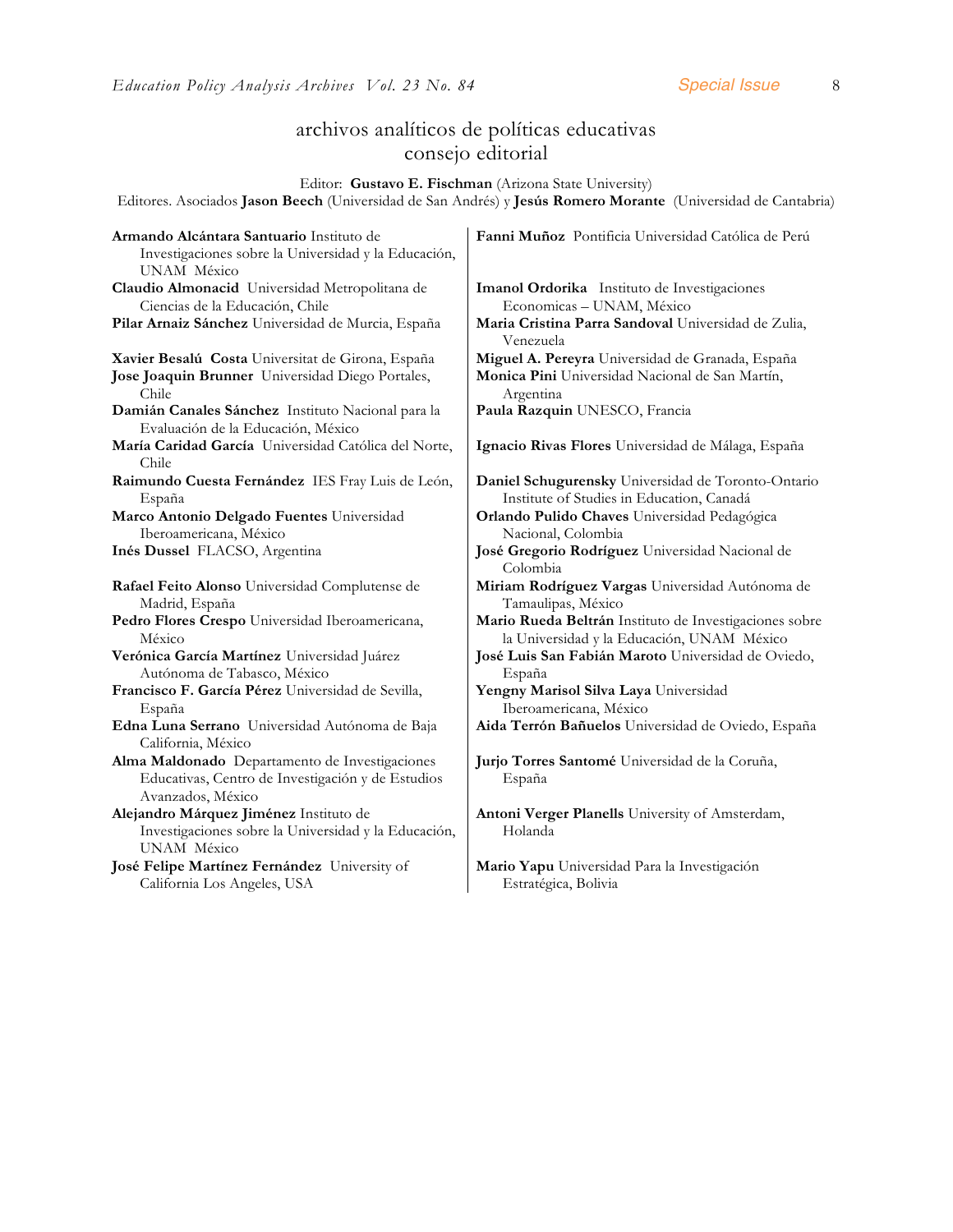## archivos analíticos de políticas educativas consejo editorial

Editor: **Gustavo E. Fischman** (Arizona State University)

Editores. Asociados **Jason Beech** (Universidad de San Andrés) y **Jesús Romero Morante** (Universidad de Cantabria)

| Armando Alcántara Santuario Instituto de                                                | Fanni Muñoz Pontificia Universidad Católica de Perú              |
|-----------------------------------------------------------------------------------------|------------------------------------------------------------------|
| Investigaciones sobre la Universidad y la Educación,                                    |                                                                  |
| UNAM México                                                                             |                                                                  |
| Claudio Almonacid Universidad Metropolitana de                                          | Imanol Ordorika Instituto de Investigaciones                     |
| Ciencias de la Educación, Chile                                                         | Economicas - UNAM, México                                        |
| Pilar Arnaiz Sánchez Universidad de Murcia, España                                      | Maria Cristina Parra Sandoval Universidad de Zulia,<br>Venezuela |
| Xavier Besalú Costa Universitat de Girona, España                                       | Miguel A. Pereyra Universidad de Granada, España                 |
| Jose Joaquin Brunner Universidad Diego Portales,<br>Chile.                              | Monica Pini Universidad Nacional de San Martín,<br>Argentina     |
| Damián Canales Sánchez Instituto Nacional para la<br>Evaluación de la Educación, México | Paula Razquin UNESCO, Francia                                    |
| María Caridad García Universidad Católica del Norte,<br>Chile                           | Ignacio Rivas Flores Universidad de Málaga, España               |
| Raimundo Cuesta Fernández IES Fray Luis de León,                                        | Daniel Schugurensky Universidad de Toronto-Ontario               |
| España                                                                                  | Institute of Studies in Education, Canadá                        |
| Marco Antonio Delgado Fuentes Universidad                                               | Orlando Pulido Chaves Universidad Pedagógica                     |
| Iberoamericana, México                                                                  | Nacional, Colombia                                               |
| Inés Dussel FLACSO, Argentina                                                           | José Gregorio Rodríguez Universidad Nacional de                  |
|                                                                                         | Colombia                                                         |
| Rafael Feito Alonso Universidad Complutense de                                          | Miriam Rodríguez Vargas Universidad Autónoma de                  |
| Madrid, España                                                                          | Tamaulipas, México                                               |
| Pedro Flores Crespo Universidad Iberoamericana,                                         | Mario Rueda Beltrán Instituto de Investigaciones sobre           |
| México                                                                                  | la Universidad y la Educación, UNAM México                       |
| Verónica García Martínez Universidad Juárez                                             | José Luis San Fabián Maroto Universidad de Oviedo,               |
| Autónoma de Tabasco, México                                                             | España                                                           |
| Francisco F. García Pérez Universidad de Sevilla,                                       | Yengny Marisol Silva Laya Universidad                            |
| España                                                                                  | Iberoamericana, México                                           |
| Edna Luna Serrano Universidad Autónoma de Baja                                          | Aida Terrón Bañuelos Universidad de Oviedo, España               |
| California, México                                                                      |                                                                  |
| Alma Maldonado Departamento de Investigaciones                                          | Jurjo Torres Santomé Universidad de la Coruña,                   |
| Educativas, Centro de Investigación y de Estudios<br>Avanzados, México                  | España                                                           |
| Alejandro Márquez Jiménez Instituto de                                                  | Antoni Verger Planells University of Amsterdam,                  |
| Investigaciones sobre la Universidad y la Educación,                                    | Holanda                                                          |
| UNAM México                                                                             |                                                                  |
| José Felipe Martínez Fernández University of                                            | Mario Yapu Universidad Para la Investigación                     |
| California Los Angeles, USA                                                             | Estratégica, Bolivia                                             |